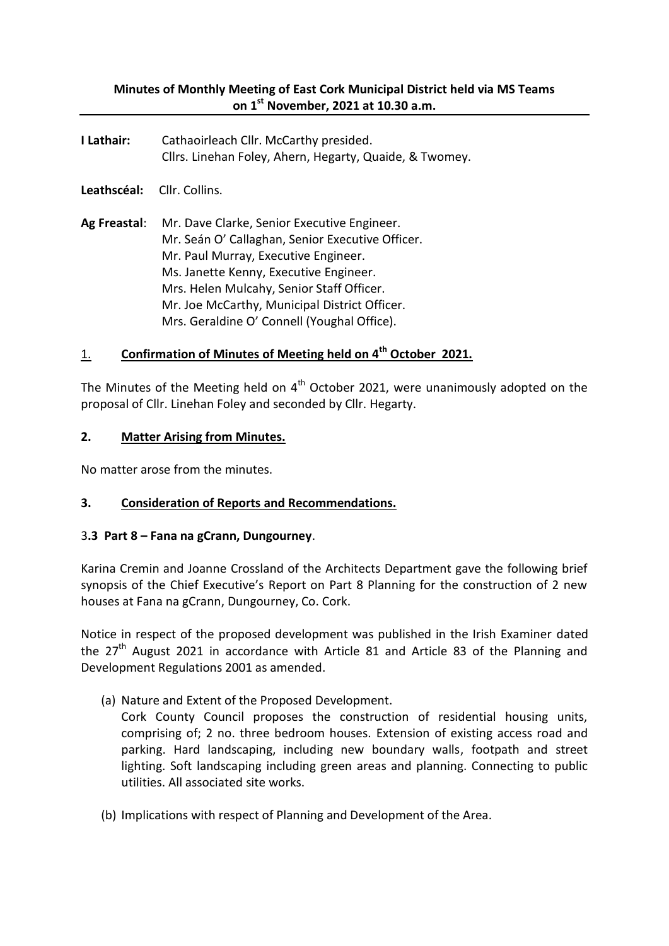## **Minutes of Monthly Meeting of East Cork Municipal District held via MS Teams on 1st November, 2021 at 10.30 a.m.**

- **I Lathair:** Cathaoirleach Cllr. McCarthy presided. Cllrs. Linehan Foley, Ahern, Hegarty, Quaide, & Twomey.
- **Leathscéal:** Cllr. Collins.
- **Ag Freastal**: Mr. Dave Clarke, Senior Executive Engineer. Mr. Seán O' Callaghan, Senior Executive Officer. Mr. Paul Murray, Executive Engineer. Ms. Janette Kenny, Executive Engineer. Mrs. Helen Mulcahy, Senior Staff Officer. Mr. Joe McCarthy, Municipal District Officer. Mrs. Geraldine O' Connell (Youghal Office).

## 1. **Confirmation of Minutes of Meeting held on 4th October 2021.**

The Minutes of the Meeting held on  $4<sup>th</sup>$  October 2021, were unanimously adopted on the proposal of Cllr. Linehan Foley and seconded by Cllr. Hegarty.

#### **2. Matter Arising from Minutes.**

No matter arose from the minutes.

## **3. Consideration of Reports and Recommendations.**

#### 3**.3 Part 8 – Fana na gCrann, Dungourney**.

Karina Cremin and Joanne Crossland of the Architects Department gave the following brief synopsis of the Chief Executive's Report on Part 8 Planning for the construction of 2 new houses at Fana na gCrann, Dungourney, Co. Cork.

Notice in respect of the proposed development was published in the Irish Examiner dated the  $27<sup>th</sup>$  August 2021 in accordance with Article 81 and Article 83 of the Planning and Development Regulations 2001 as amended.

(a) Nature and Extent of the Proposed Development.

Cork County Council proposes the construction of residential housing units, comprising of; 2 no. three bedroom houses. Extension of existing access road and parking. Hard landscaping, including new boundary walls, footpath and street lighting. Soft landscaping including green areas and planning. Connecting to public utilities. All associated site works.

(b) Implications with respect of Planning and Development of the Area.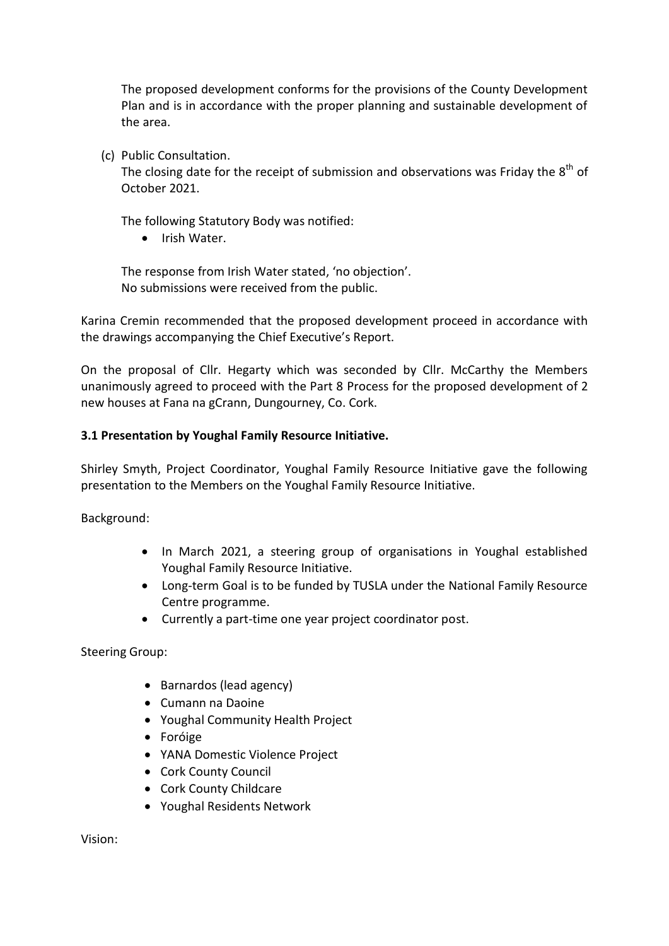The proposed development conforms for the provisions of the County Development Plan and is in accordance with the proper planning and sustainable development of the area.

(c) Public Consultation.

The closing date for the receipt of submission and observations was Friday the  $8<sup>th</sup>$  of October 2021.

The following Statutory Body was notified:

Irish Water.

The response from Irish Water stated, 'no objection'. No submissions were received from the public.

Karina Cremin recommended that the proposed development proceed in accordance with the drawings accompanying the Chief Executive's Report.

On the proposal of Cllr. Hegarty which was seconded by Cllr. McCarthy the Members unanimously agreed to proceed with the Part 8 Process for the proposed development of 2 new houses at Fana na gCrann, Dungourney, Co. Cork.

#### **3.1 Presentation by Youghal Family Resource Initiative.**

Shirley Smyth, Project Coordinator, Youghal Family Resource Initiative gave the following presentation to the Members on the Youghal Family Resource Initiative.

Background:

- In March 2021, a steering group of organisations in Youghal established Youghal Family Resource Initiative.
- Long-term Goal is to be funded by TUSLA under the National Family Resource Centre programme.
- Currently a part-time one year project coordinator post.

Steering Group:

- Barnardos (lead agency)
- Cumann na Daoine
- Youghal Community Health Project
- Foróige
- YANA Domestic Violence Project
- Cork County Council
- Cork County Childcare
- Youghal Residents Network

Vision: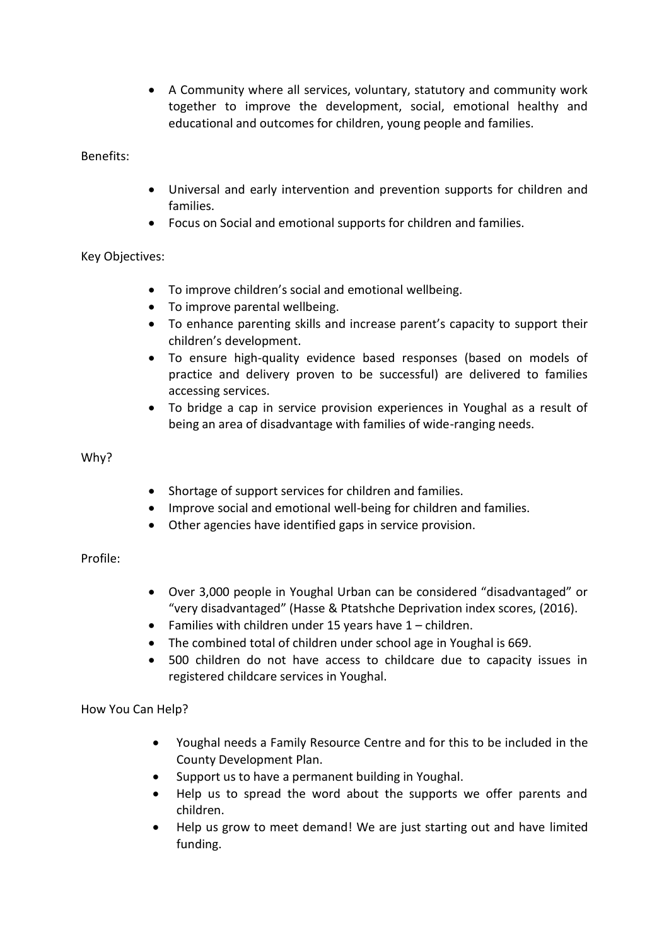A Community where all services, voluntary, statutory and community work together to improve the development, social, emotional healthy and educational and outcomes for children, young people and families.

Benefits:

- Universal and early intervention and prevention supports for children and families.
- Focus on Social and emotional supports for children and families.

Key Objectives:

- To improve children's social and emotional wellbeing.
- To improve parental wellbeing.
- To enhance parenting skills and increase parent's capacity to support their children's development.
- To ensure high-quality evidence based responses (based on models of practice and delivery proven to be successful) are delivered to families accessing services.
- To bridge a cap in service provision experiences in Youghal as a result of being an area of disadvantage with families of wide-ranging needs.

Why?

- Shortage of support services for children and families.
- Improve social and emotional well-being for children and families.
- Other agencies have identified gaps in service provision.

Profile:

- Over 3,000 people in Youghal Urban can be considered "disadvantaged" or "very disadvantaged" (Hasse & Ptatshche Deprivation index scores, (2016).
- Families with children under 15 years have  $1$  children.
- The combined total of children under school age in Youghal is 669.
- 500 children do not have access to childcare due to capacity issues in registered childcare services in Youghal.

How You Can Help?

- Youghal needs a Family Resource Centre and for this to be included in the County Development Plan.
- Support us to have a permanent building in Youghal.
- Help us to spread the word about the supports we offer parents and children.
- Help us grow to meet demand! We are just starting out and have limited funding.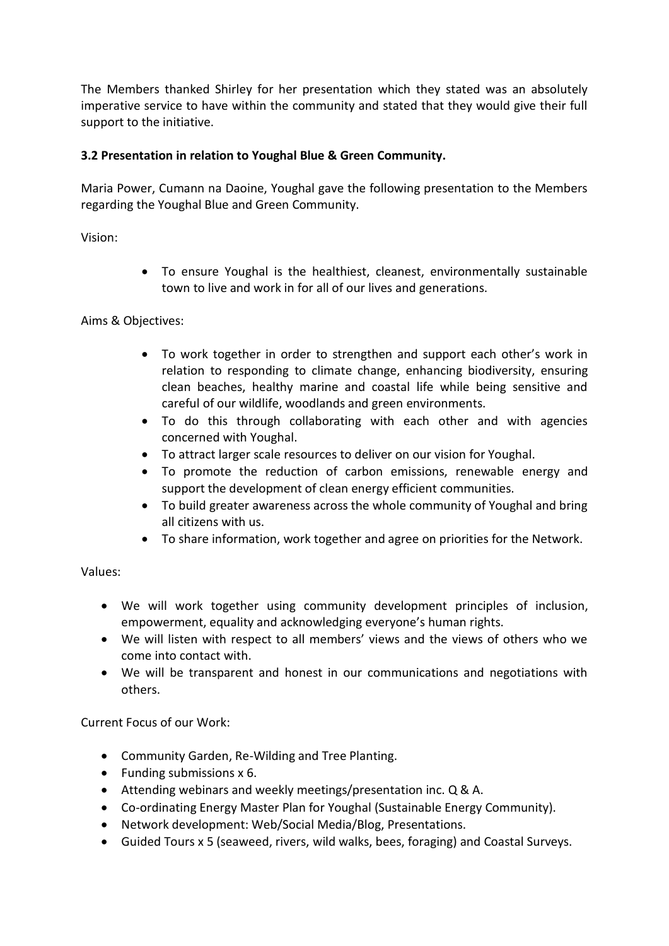The Members thanked Shirley for her presentation which they stated was an absolutely imperative service to have within the community and stated that they would give their full support to the initiative.

## **3.2 Presentation in relation to Youghal Blue & Green Community.**

Maria Power, Cumann na Daoine, Youghal gave the following presentation to the Members regarding the Youghal Blue and Green Community.

Vision:

 To ensure Youghal is the healthiest, cleanest, environmentally sustainable town to live and work in for all of our lives and generations.

## Aims & Objectives:

- To work together in order to strengthen and support each other's work in relation to responding to climate change, enhancing biodiversity, ensuring clean beaches, healthy marine and coastal life while being sensitive and careful of our wildlife, woodlands and green environments.
- To do this through collaborating with each other and with agencies concerned with Youghal.
- To attract larger scale resources to deliver on our vision for Youghal.
- To promote the reduction of carbon emissions, renewable energy and support the development of clean energy efficient communities.
- To build greater awareness across the whole community of Youghal and bring all citizens with us.
- To share information, work together and agree on priorities for the Network.

# Values:

- We will work together using community development principles of inclusion, empowerment, equality and acknowledging everyone's human rights.
- We will listen with respect to all members' views and the views of others who we come into contact with.
- We will be transparent and honest in our communications and negotiations with others.

Current Focus of our Work:

- Community Garden, Re-Wilding and Tree Planting.
- Funding submissions  $x$  6.
- Attending webinars and weekly meetings/presentation inc. Q & A.
- Co-ordinating Energy Master Plan for Youghal (Sustainable Energy Community).
- Network development: Web/Social Media/Blog, Presentations.
- Guided Tours x 5 (seaweed, rivers, wild walks, bees, foraging) and Coastal Surveys.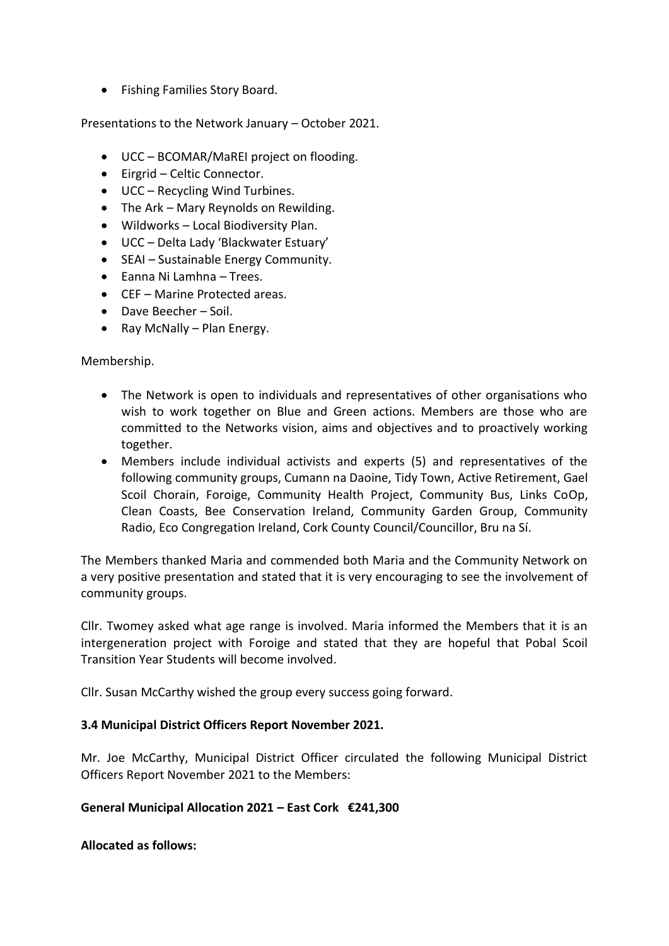• Fishing Families Story Board.

Presentations to the Network January – October 2021.

- UCC BCOMAR/MaREI project on flooding.
- Eirgrid Celtic Connector.
- UCC Recycling Wind Turbines.
- The Ark Mary Reynolds on Rewilding.
- Wildworks Local Biodiversity Plan.
- UCC Delta Lady 'Blackwater Estuary'
- SEAI Sustainable Energy Community.
- Eanna Ni Lamhna Trees.
- CEF Marine Protected areas.
- Dave Beecher Soil.
- Ray McNally Plan Energy.

#### Membership.

- The Network is open to individuals and representatives of other organisations who wish to work together on Blue and Green actions. Members are those who are committed to the Networks vision, aims and objectives and to proactively working together.
- Members include individual activists and experts (5) and representatives of the following community groups, Cumann na Daoine, Tidy Town, Active Retirement, Gael Scoil Chorain, Foroige, Community Health Project, Community Bus, Links CoOp, Clean Coasts, Bee Conservation Ireland, Community Garden Group, Community Radio, Eco Congregation Ireland, Cork County Council/Councillor, Bru na Sí.

The Members thanked Maria and commended both Maria and the Community Network on a very positive presentation and stated that it is very encouraging to see the involvement of community groups.

Cllr. Twomey asked what age range is involved. Maria informed the Members that it is an intergeneration project with Foroige and stated that they are hopeful that Pobal Scoil Transition Year Students will become involved.

Cllr. Susan McCarthy wished the group every success going forward.

## **3.4 Municipal District Officers Report November 2021.**

Mr. Joe McCarthy, Municipal District Officer circulated the following Municipal District Officers Report November 2021 to the Members:

#### **General Municipal Allocation 2021 – East Cork €241,300**

**Allocated as follows:**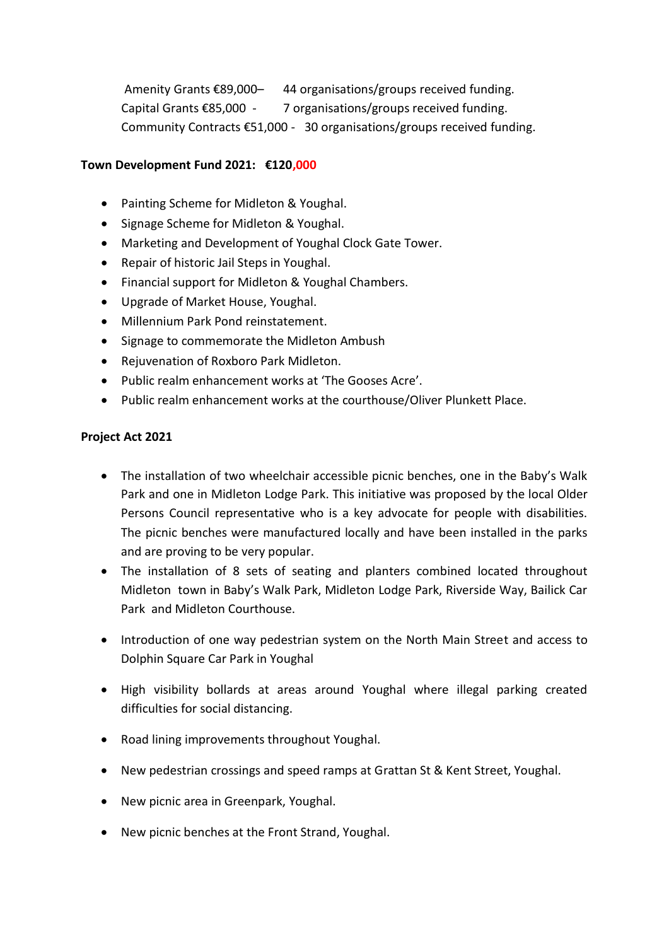Amenity Grants €89,000- 44 organisations/groups received funding. Capital Grants €85,000 - 7 organisations/groups received funding. Community Contracts €51,000 - 30 organisations/groups received funding.

#### **Town Development Fund 2021: €120,000**

- Painting Scheme for Midleton & Youghal.
- Signage Scheme for Midleton & Youghal.
- Marketing and Development of Youghal Clock Gate Tower.
- Repair of historic Jail Steps in Youghal.
- Financial support for Midleton & Youghal Chambers.
- Upgrade of Market House, Youghal.
- Millennium Park Pond reinstatement.
- Signage to commemorate the Midleton Ambush
- Rejuvenation of Roxboro Park Midleton.
- Public realm enhancement works at 'The Gooses Acre'.
- Public realm enhancement works at the courthouse/Oliver Plunkett Place.

#### **Project Act 2021**

- The installation of two wheelchair accessible picnic benches, one in the Baby's Walk Park and one in Midleton Lodge Park. This initiative was proposed by the local Older Persons Council representative who is a key advocate for people with disabilities. The picnic benches were manufactured locally and have been installed in the parks and are proving to be very popular.
- The installation of 8 sets of seating and planters combined located throughout Midleton town in Baby's Walk Park, Midleton Lodge Park, Riverside Way, Bailick Car Park and Midleton Courthouse.
- Introduction of one way pedestrian system on the North Main Street and access to Dolphin Square Car Park in Youghal
- High visibility bollards at areas around Youghal where illegal parking created difficulties for social distancing.
- Road lining improvements throughout Youghal.
- New pedestrian crossings and speed ramps at Grattan St & Kent Street, Youghal.
- New picnic area in Greenpark, Youghal.
- New picnic benches at the Front Strand, Youghal.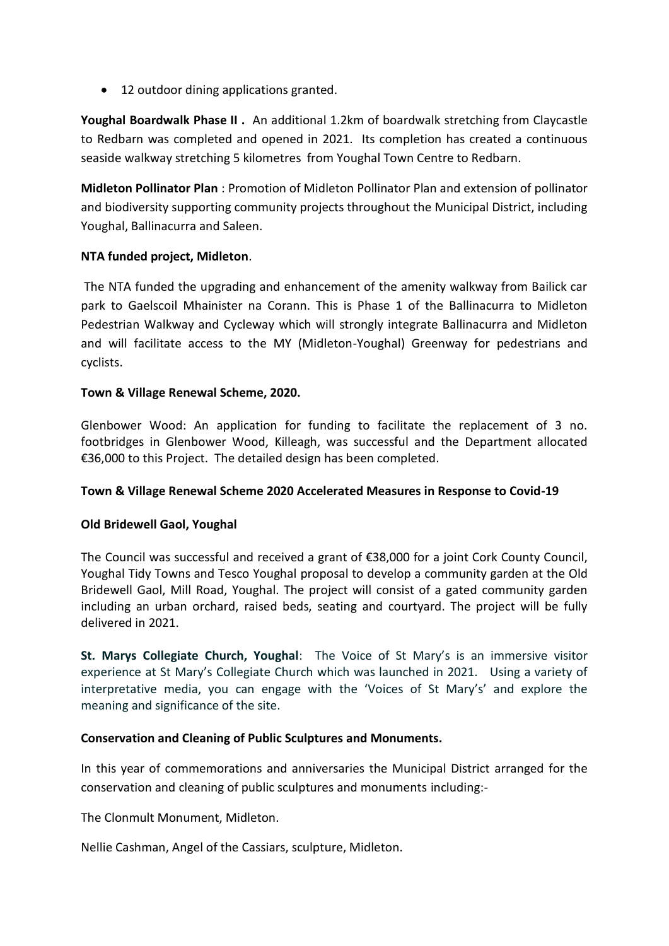• 12 outdoor dining applications granted.

**Youghal Boardwalk Phase II .** An additional 1.2km of boardwalk stretching from Claycastle to Redbarn was completed and opened in 2021. Its completion has created a continuous seaside walkway stretching 5 kilometres from Youghal Town Centre to Redbarn.

**Midleton Pollinator Plan** : Promotion of Midleton Pollinator Plan and extension of pollinator and biodiversity supporting community projects throughout the Municipal District, including Youghal, Ballinacurra and Saleen.

## **NTA funded project, Midleton**.

The NTA funded the upgrading and enhancement of the amenity walkway from Bailick car park to Gaelscoil Mhainister na Corann. This is Phase 1 of the Ballinacurra to Midleton Pedestrian Walkway and Cycleway which will strongly integrate Ballinacurra and Midleton and will facilitate access to the MY (Midleton-Youghal) Greenway for pedestrians and cyclists.

## **Town & Village Renewal Scheme, 2020.**

Glenbower Wood: An application for funding to facilitate the replacement of 3 no. footbridges in Glenbower Wood, Killeagh, was successful and the Department allocated €36,000 to this Project. The detailed design has been completed.

## **Town & Village Renewal Scheme 2020 Accelerated Measures in Response to Covid-19**

## **Old Bridewell Gaol, Youghal**

The Council was successful and received a grant of €38,000 for a joint Cork County Council, Youghal Tidy Towns and Tesco Youghal proposal to develop a community garden at the Old Bridewell Gaol, Mill Road, Youghal. The project will consist of a gated community garden including an urban orchard, raised beds, seating and courtyard. The project will be fully delivered in 2021.

**St. Marys Collegiate Church, Youghal**: The Voice of St Mary's is an immersive visitor experience at St Mary's Collegiate Church which was launched in 2021. Using a variety of interpretative media, you can engage with the 'Voices of St Mary's' and explore the meaning and significance of the site.

## **Conservation and Cleaning of Public Sculptures and Monuments.**

In this year of commemorations and anniversaries the Municipal District arranged for the conservation and cleaning of public sculptures and monuments including:-

The Clonmult Monument, Midleton.

Nellie Cashman, Angel of the Cassiars, sculpture, Midleton.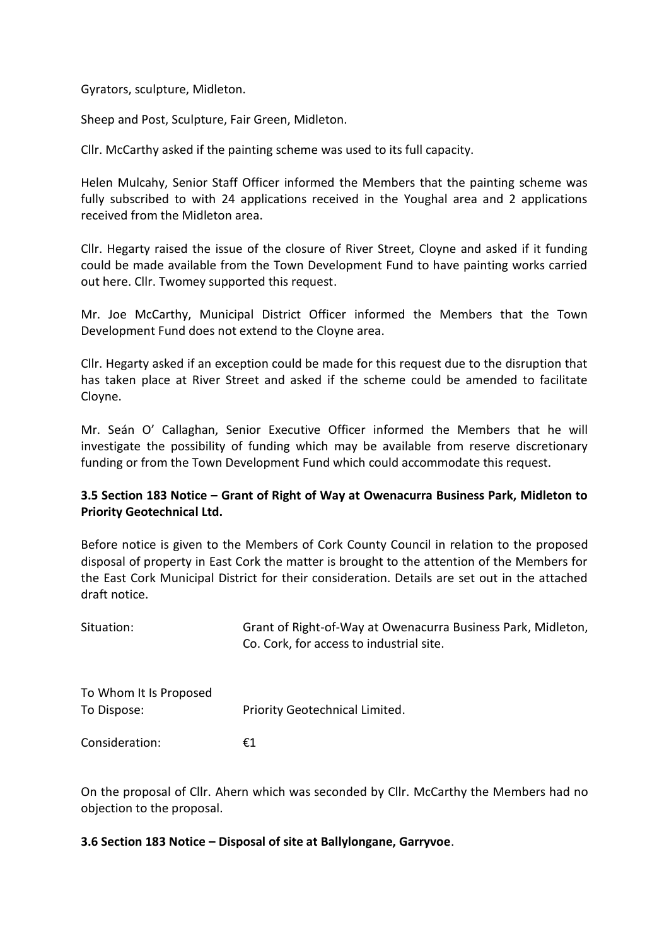Gyrators, sculpture, Midleton.

Sheep and Post, Sculpture, Fair Green, Midleton.

Cllr. McCarthy asked if the painting scheme was used to its full capacity.

Helen Mulcahy, Senior Staff Officer informed the Members that the painting scheme was fully subscribed to with 24 applications received in the Youghal area and 2 applications received from the Midleton area.

Cllr. Hegarty raised the issue of the closure of River Street, Cloyne and asked if it funding could be made available from the Town Development Fund to have painting works carried out here. Cllr. Twomey supported this request.

Mr. Joe McCarthy, Municipal District Officer informed the Members that the Town Development Fund does not extend to the Cloyne area.

Cllr. Hegarty asked if an exception could be made for this request due to the disruption that has taken place at River Street and asked if the scheme could be amended to facilitate Cloyne.

Mr. Seán O' Callaghan, Senior Executive Officer informed the Members that he will investigate the possibility of funding which may be available from reserve discretionary funding or from the Town Development Fund which could accommodate this request.

## **3.5 Section 183 Notice – Grant of Right of Way at Owenacurra Business Park, Midleton to Priority Geotechnical Ltd.**

Before notice is given to the Members of Cork County Council in relation to the proposed disposal of property in East Cork the matter is brought to the attention of the Members for the East Cork Municipal District for their consideration. Details are set out in the attached draft notice.

| Situation:                            | Grant of Right-of-Way at Owenacurra Business Park, Midleton,<br>Co. Cork, for access to industrial site. |
|---------------------------------------|----------------------------------------------------------------------------------------------------------|
| To Whom It Is Proposed<br>To Dispose: | Priority Geotechnical Limited.                                                                           |
| Consideration:                        | €1                                                                                                       |

On the proposal of Cllr. Ahern which was seconded by Cllr. McCarthy the Members had no objection to the proposal.

#### **3.6 Section 183 Notice – Disposal of site at Ballylongane, Garryvoe**.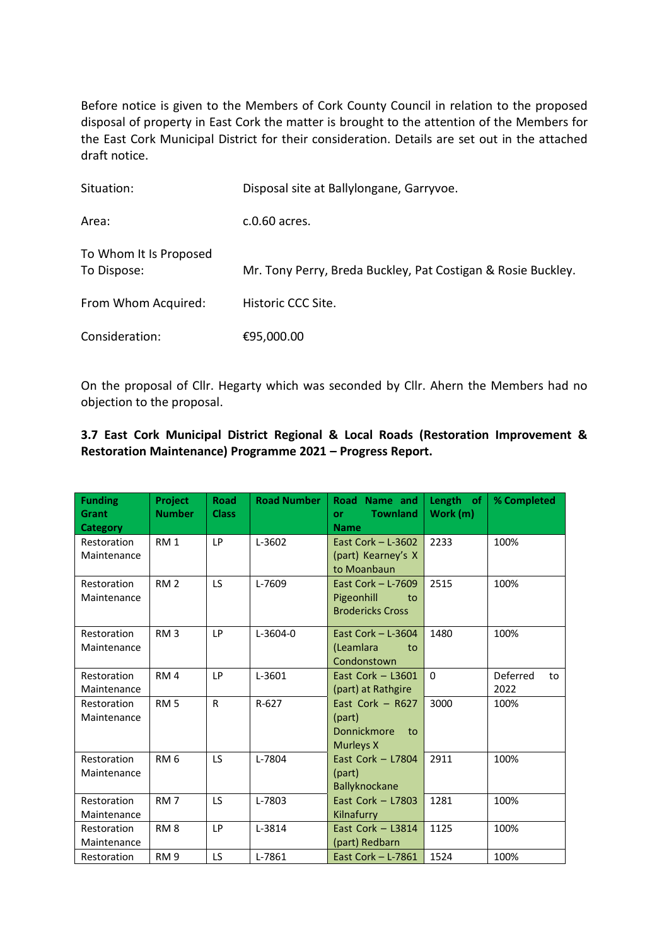Before notice is given to the Members of Cork County Council in relation to the proposed disposal of property in East Cork the matter is brought to the attention of the Members for the East Cork Municipal District for their consideration. Details are set out in the attached draft notice.

| Situation:                            | Disposal site at Ballylongane, Garryvoe.                     |
|---------------------------------------|--------------------------------------------------------------|
| Area:                                 | c.0.60 acres.                                                |
| To Whom It Is Proposed<br>To Dispose: | Mr. Tony Perry, Breda Buckley, Pat Costigan & Rosie Buckley. |
| From Whom Acquired:                   | Historic CCC Site.                                           |
| Consideration:                        | €95,000.00                                                   |

On the proposal of Cllr. Hegarty which was seconded by Cllr. Ahern the Members had no objection to the proposal.

#### **3.7 East Cork Municipal District Regional & Local Roads (Restoration Improvement & Restoration Maintenance) Programme 2021 – Progress Report.**

| <b>Funding</b><br>Grant<br>Category | Project<br><b>Number</b> | <b>Road</b><br><b>Class</b> | <b>Road Number</b> | Road Name and<br><b>Townland</b><br>or<br><b>Name</b>               | Length of<br>Work (m) | % Completed            |
|-------------------------------------|--------------------------|-----------------------------|--------------------|---------------------------------------------------------------------|-----------------------|------------------------|
| Restoration<br>Maintenance          | RM <sub>1</sub>          | LP                          | L-3602             | East Cork $-$ L-3602<br>(part) Kearney's X<br>to Moanbaun           | 2233                  | 100%                   |
| Restoration<br>Maintenance          | RM <sub>2</sub>          | <b>LS</b>                   | L-7609             | East Cork $-$ L-7609<br>Pigeonhill<br>to<br><b>Brodericks Cross</b> | 2515                  | 100%                   |
| Restoration<br>Maintenance          | RM <sub>3</sub>          | LP                          | $L-3604-0$         | East Cork $-$ L-3604<br>(Leamlara<br>to<br>Condonstown              | 1480                  | 100%                   |
| Restoration<br>Maintenance          | RM <sub>4</sub>          | LP                          | L-3601             | East Cork $-$ L3601<br>(part) at Rathgire                           | $\Omega$              | Deferred<br>to<br>2022 |
| Restoration<br>Maintenance          | RM <sub>5</sub>          | R                           | $R-627$            | East Cork $-$ R627<br>(part)<br>Donnickmore<br>to<br>Murleys X      | 3000                  | 100%                   |
| Restoration<br>Maintenance          | RM <sub>6</sub>          | LS                          | L-7804             | East Cork $-$ L7804<br>(part)<br>Ballyknockane                      | 2911                  | 100%                   |
| Restoration<br>Maintenance          | RM <sub>7</sub>          | <b>LS</b>                   | L-7803             | East Cork $-$ L7803<br>Kilnafurry                                   | 1281                  | 100%                   |
| Restoration<br>Maintenance          | RM <sub>8</sub>          | LP                          | L-3814             | East Cork $-$ L3814<br>(part) Redbarn                               | 1125                  | 100%                   |
| Restoration                         | <b>RM9</b>               | <b>LS</b>                   | L-7861             | East Cork $-$ L-7861                                                | 1524                  | 100%                   |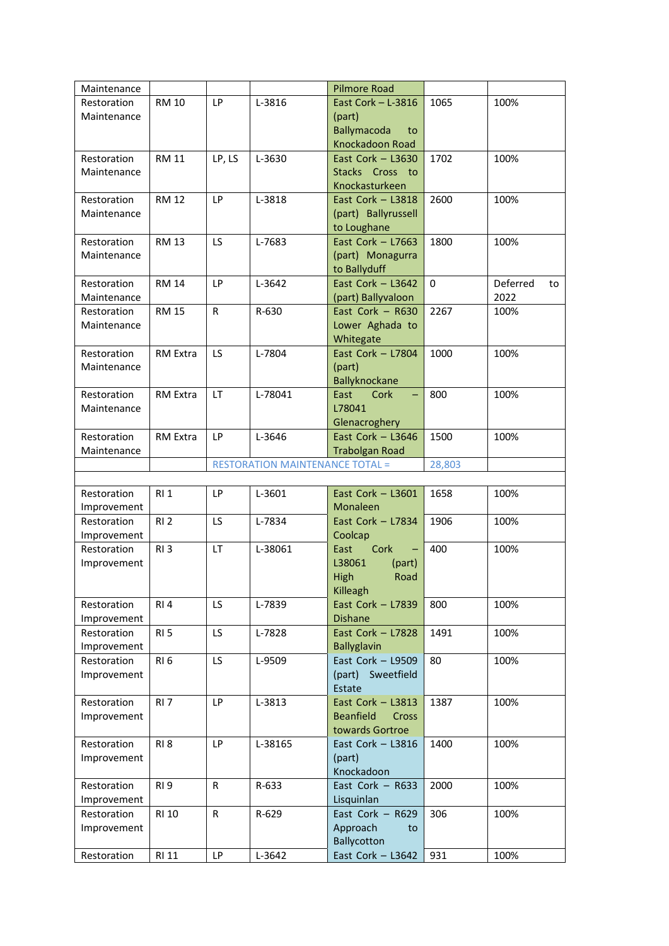| Maintenance |                 |              |                                        | <b>Pilmore Road</b>              |          |                |
|-------------|-----------------|--------------|----------------------------------------|----------------------------------|----------|----------------|
| Restoration | <b>RM 10</b>    | <b>LP</b>    | L-3816                                 | East Cork $-$ L-3816             | 1065     | 100%           |
| Maintenance |                 |              |                                        | (part)                           |          |                |
|             |                 |              |                                        | <b>Ballymacoda</b><br>to         |          |                |
|             |                 |              |                                        | Knockadoon Road                  |          |                |
| Restoration | <b>RM 11</b>    | LP, LS       | L-3630                                 | East Cork $-$ L3630              | 1702     | 100%           |
| Maintenance |                 |              |                                        | Stacks Cross to                  |          |                |
|             |                 |              |                                        | Knockasturkeen                   |          |                |
| Restoration | <b>RM 12</b>    | LP           | L-3818                                 | East Cork - L3818                | 2600     | 100%           |
| Maintenance |                 |              |                                        | (part) Ballyrussell              |          |                |
|             |                 |              |                                        | to Loughane                      |          |                |
| Restoration | <b>RM 13</b>    | LS.          | L-7683                                 | East Cork $-$ L7663              | 1800     | 100%           |
| Maintenance |                 |              |                                        | (part) Monagurra                 |          |                |
|             |                 |              |                                        | to Ballyduff                     |          |                |
| Restoration | <b>RM 14</b>    | LP           | L-3642                                 | East Cork $-$ L3642              | $\Omega$ | Deferred<br>to |
| Maintenance |                 |              |                                        | (part) Ballyvaloon               |          | 2022           |
| Restoration | <b>RM 15</b>    | $\mathsf{R}$ | R-630                                  | East Cork - R630                 | 2267     | 100%           |
| Maintenance |                 |              |                                        | Lower Aghada to                  |          |                |
|             |                 |              |                                        | Whitegate                        |          |                |
| Restoration | RM Extra        | <b>LS</b>    | L-7804                                 | East Cork $-$ L7804              | 1000     | 100%           |
| Maintenance |                 |              |                                        | (part)                           |          |                |
|             |                 |              |                                        | Ballyknockane                    |          |                |
| Restoration | RM Extra        | <b>LT</b>    | L-78041                                | East<br>Cork                     | 800      | 100%           |
| Maintenance |                 |              |                                        | L78041                           |          |                |
|             |                 |              |                                        | Glenacroghery                    |          |                |
| Restoration | RM Extra        | LP           | L-3646                                 | East Cork $-$ L3646              | 1500     | 100%           |
| Maintenance |                 |              |                                        | <b>Trabolgan Road</b>            |          |                |
|             |                 |              | <b>RESTORATION MAINTENANCE TOTAL =</b> |                                  | 28,803   |                |
|             |                 |              |                                        |                                  |          |                |
| Restoration | RI 1            | <b>LP</b>    | L-3601                                 | East Cork $-$ L3601              | 1658     | 100%           |
| Improvement |                 |              |                                        | Monaleen                         |          |                |
| Restoration | RI <sub>2</sub> | LS.          | L-7834                                 | East Cork $-$ L7834              | 1906     | 100%           |
| Improvement |                 |              |                                        | Coolcap                          |          |                |
| Restoration | RI <sub>3</sub> | LT           | L-38061                                | Cork<br>East                     | 400      | 100%           |
| Improvement |                 |              |                                        | L38061<br>(part)                 |          |                |
|             |                 |              |                                        | High<br>Road                     |          |                |
|             |                 |              |                                        | Killeagh                         |          |                |
| Restoration | RI4             | LS           | L-7839                                 | East Cork - L7839                | 800      | 100%           |
| Improvement |                 |              |                                        | <b>Dishane</b>                   |          |                |
| Restoration | RI <sub>5</sub> | LS           | L-7828                                 | East Cork - L7828                | 1491     | 100%           |
| Improvement |                 |              |                                        | <b>Ballyglavin</b>               |          |                |
| Restoration | RI <sub>6</sub> | LS           | L-9509                                 | East Cork $-$ L9509              | 80       | 100%           |
| Improvement |                 |              |                                        | (part) Sweetfield                |          |                |
|             |                 |              |                                        | Estate                           |          |                |
| Restoration | RI <sub>7</sub> | LP           | L-3813                                 | East Cork - L3813                | 1387     | 100%           |
| Improvement |                 |              |                                        | <b>Beanfield</b><br><b>Cross</b> |          |                |
|             |                 |              |                                        | towards Gortroe                  |          |                |
| Restoration | RI <sub>8</sub> | LP           | L-38165                                | East Cork $-$ L3816              | 1400     | 100%           |
| Improvement |                 |              |                                        | (part)                           |          |                |
|             |                 |              |                                        | Knockadoon                       |          |                |
| Restoration | RI <sub>9</sub> | $\mathsf R$  | R-633                                  | East Cork $-$ R633               | 2000     | 100%           |
| Improvement |                 |              |                                        | Lisquinlan                       |          |                |
| Restoration | <b>RI 10</b>    | R            | R-629                                  | East Cork - R629                 | 306      | 100%           |
| Improvement |                 |              |                                        | Approach<br>to                   |          |                |
|             |                 |              |                                        | Ballycotton                      |          |                |
| Restoration | <b>RI 11</b>    | LP           | L-3642                                 | East Cork - L3642                | 931      | 100%           |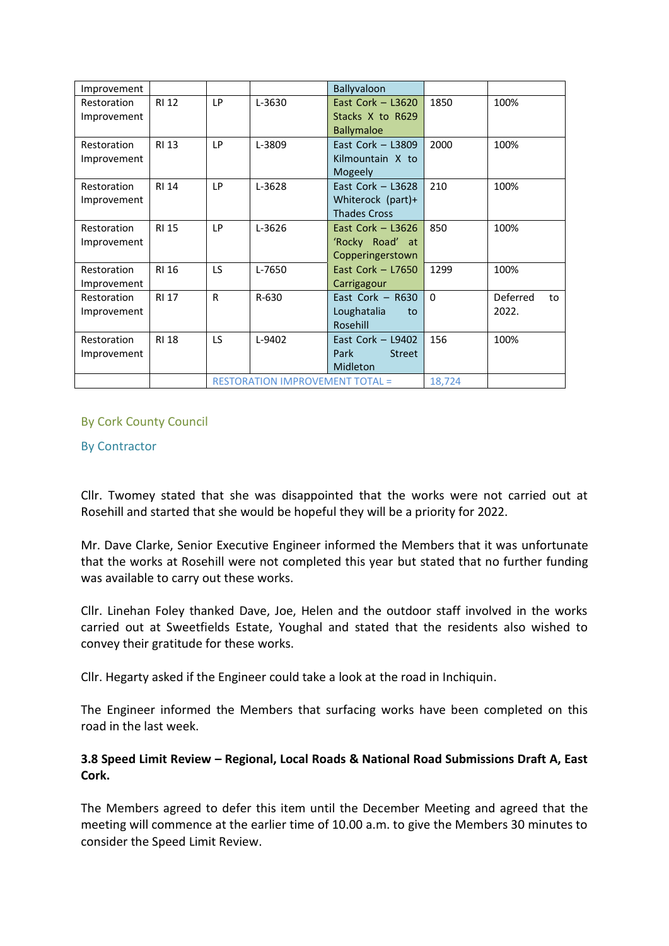| Improvement                |              |                                        |        | Ballyvaloon                             |          |                |
|----------------------------|--------------|----------------------------------------|--------|-----------------------------------------|----------|----------------|
| Restoration<br>Improvement | <b>RI 12</b> | LP                                     | L-3630 | East Cork $-$ L3620<br>Stacks X to R629 | 1850     | 100%           |
|                            |              |                                        |        | <b>Ballymaloe</b>                       |          |                |
| Restoration                | <b>RI 13</b> | LP                                     | L-3809 | East Cork $-$ L3809                     | 2000     | 100%           |
| Improvement                |              |                                        |        | Kilmountain X to                        |          |                |
|                            |              |                                        |        | Mogeely                                 |          |                |
| Restoration                | <b>RI 14</b> | LP                                     | L-3628 | East Cork $-$ L3628                     | 210      | 100%           |
| Improvement                |              |                                        |        | Whiterock (part)+                       |          |                |
|                            |              |                                        |        | <b>Thades Cross</b>                     |          |                |
| Restoration                | <b>RI 15</b> | <b>LP</b>                              | L-3626 | East Cork $-$ L3626                     | 850      | 100%           |
| Improvement                |              |                                        |        | 'Rocky Road' at                         |          |                |
|                            |              |                                        |        | Copperingerstown                        |          |                |
| Restoration                | <b>RI 16</b> | LS                                     | L-7650 | East Cork $-$ L7650                     | 1299     | 100%           |
| Improvement                |              |                                        |        | Carrigagour                             |          |                |
| Restoration                | <b>RI 17</b> | $\mathsf{R}$                           | R-630  | East Cork $-$ R630                      | $\Omega$ | Deferred<br>to |
| Improvement                |              |                                        |        | Loughatalia<br>to                       |          | 2022.          |
|                            |              |                                        |        | Rosehill                                |          |                |
| Restoration                | <b>RI 18</b> | LS.                                    | L-9402 | East Cork $-$ L9402                     | 156      | 100%           |
| Improvement                |              |                                        |        | Park<br><b>Street</b>                   |          |                |
|                            |              |                                        |        | Midleton                                |          |                |
|                            |              | <b>RESTORATION IMPROVEMENT TOTAL =</b> |        |                                         | 18,724   |                |

## By Cork County Council

#### By Contractor

Cllr. Twomey stated that she was disappointed that the works were not carried out at Rosehill and started that she would be hopeful they will be a priority for 2022.

Mr. Dave Clarke, Senior Executive Engineer informed the Members that it was unfortunate that the works at Rosehill were not completed this year but stated that no further funding was available to carry out these works.

Cllr. Linehan Foley thanked Dave, Joe, Helen and the outdoor staff involved in the works carried out at Sweetfields Estate, Youghal and stated that the residents also wished to convey their gratitude for these works.

Cllr. Hegarty asked if the Engineer could take a look at the road in Inchiquin.

The Engineer informed the Members that surfacing works have been completed on this road in the last week.

## **3.8 Speed Limit Review – Regional, Local Roads & National Road Submissions Draft A, East Cork.**

The Members agreed to defer this item until the December Meeting and agreed that the meeting will commence at the earlier time of 10.00 a.m. to give the Members 30 minutes to consider the Speed Limit Review.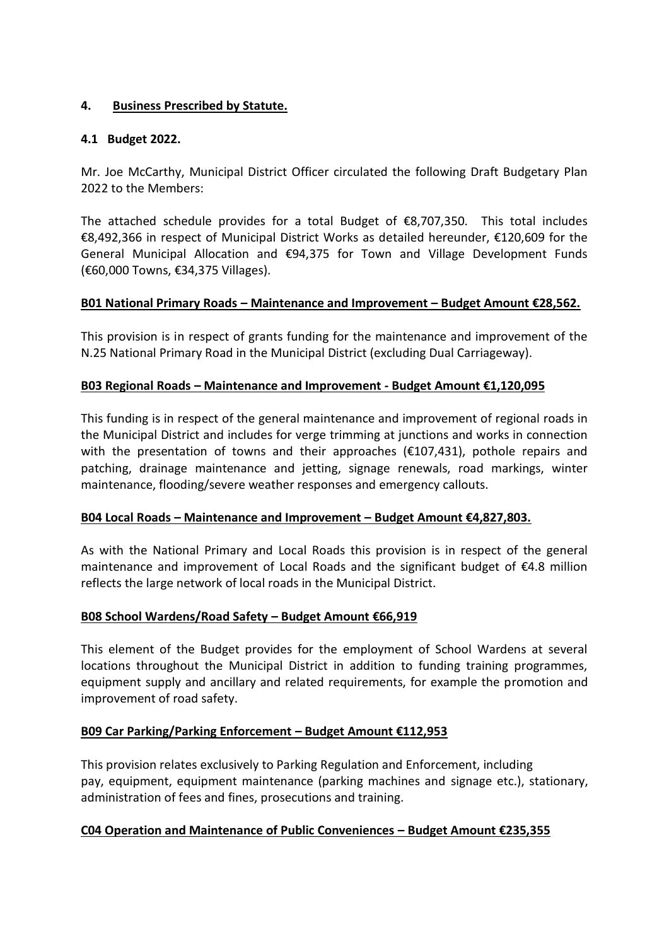## **4. Business Prescribed by Statute.**

## **4.1 Budget 2022.**

Mr. Joe McCarthy, Municipal District Officer circulated the following Draft Budgetary Plan 2022 to the Members:

The attached schedule provides for a total Budget of €8,707,350. This total includes €8,492,366 in respect of Municipal District Works as detailed hereunder, €120,609 for the General Municipal Allocation and €94,375 for Town and Village Development Funds (€60,000 Towns, €34,375 Villages).

## **B01 National Primary Roads – Maintenance and Improvement – Budget Amount €28,562.**

This provision is in respect of grants funding for the maintenance and improvement of the N.25 National Primary Road in the Municipal District (excluding Dual Carriageway).

## **B03 Regional Roads – Maintenance and Improvement - Budget Amount €1,120,095**

This funding is in respect of the general maintenance and improvement of regional roads in the Municipal District and includes for verge trimming at junctions and works in connection with the presentation of towns and their approaches ( $\epsilon$ 107,431), pothole repairs and patching, drainage maintenance and jetting, signage renewals, road markings, winter maintenance, flooding/severe weather responses and emergency callouts.

## **B04 Local Roads – Maintenance and Improvement – Budget Amount €4,827,803.**

As with the National Primary and Local Roads this provision is in respect of the general maintenance and improvement of Local Roads and the significant budget of €4.8 million reflects the large network of local roads in the Municipal District.

## **B08 School Wardens/Road Safety – Budget Amount €66,919**

This element of the Budget provides for the employment of School Wardens at several locations throughout the Municipal District in addition to funding training programmes, equipment supply and ancillary and related requirements, for example the promotion and improvement of road safety.

# **B09 Car Parking/Parking Enforcement – Budget Amount €112,953**

This provision relates exclusively to Parking Regulation and Enforcement, including pay, equipment, equipment maintenance (parking machines and signage etc.), stationary, administration of fees and fines, prosecutions and training.

## **C04 Operation and Maintenance of Public Conveniences – Budget Amount €235,355**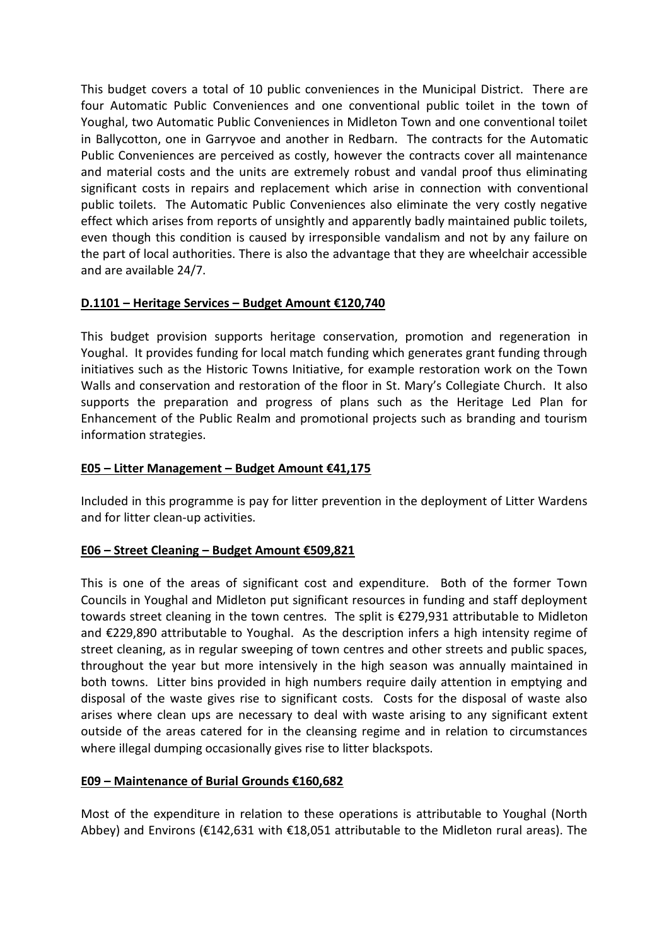This budget covers a total of 10 public conveniences in the Municipal District. There are four Automatic Public Conveniences and one conventional public toilet in the town of Youghal, two Automatic Public Conveniences in Midleton Town and one conventional toilet in Ballycotton, one in Garryvoe and another in Redbarn. The contracts for the Automatic Public Conveniences are perceived as costly, however the contracts cover all maintenance and material costs and the units are extremely robust and vandal proof thus eliminating significant costs in repairs and replacement which arise in connection with conventional public toilets. The Automatic Public Conveniences also eliminate the very costly negative effect which arises from reports of unsightly and apparently badly maintained public toilets, even though this condition is caused by irresponsible vandalism and not by any failure on the part of local authorities. There is also the advantage that they are wheelchair accessible and are available 24/7.

## **D.1101 – Heritage Services – Budget Amount €120,740**

This budget provision supports heritage conservation, promotion and regeneration in Youghal. It provides funding for local match funding which generates grant funding through initiatives such as the Historic Towns Initiative, for example restoration work on the Town Walls and conservation and restoration of the floor in St. Mary's Collegiate Church. It also supports the preparation and progress of plans such as the Heritage Led Plan for Enhancement of the Public Realm and promotional projects such as branding and tourism information strategies.

#### **E05 – Litter Management – Budget Amount €41,175**

Included in this programme is pay for litter prevention in the deployment of Litter Wardens and for litter clean-up activities.

#### **E06 – Street Cleaning – Budget Amount €509,821**

This is one of the areas of significant cost and expenditure. Both of the former Town Councils in Youghal and Midleton put significant resources in funding and staff deployment towards street cleaning in the town centres. The split is €279,931 attributable to Midleton and €229,890 attributable to Youghal. As the description infers a high intensity regime of street cleaning, as in regular sweeping of town centres and other streets and public spaces, throughout the year but more intensively in the high season was annually maintained in both towns. Litter bins provided in high numbers require daily attention in emptying and disposal of the waste gives rise to significant costs. Costs for the disposal of waste also arises where clean ups are necessary to deal with waste arising to any significant extent outside of the areas catered for in the cleansing regime and in relation to circumstances where illegal dumping occasionally gives rise to litter blackspots.

#### **E09 – Maintenance of Burial Grounds €160,682**

Most of the expenditure in relation to these operations is attributable to Youghal (North Abbey) and Environs (€142,631 with €18,051 attributable to the Midleton rural areas). The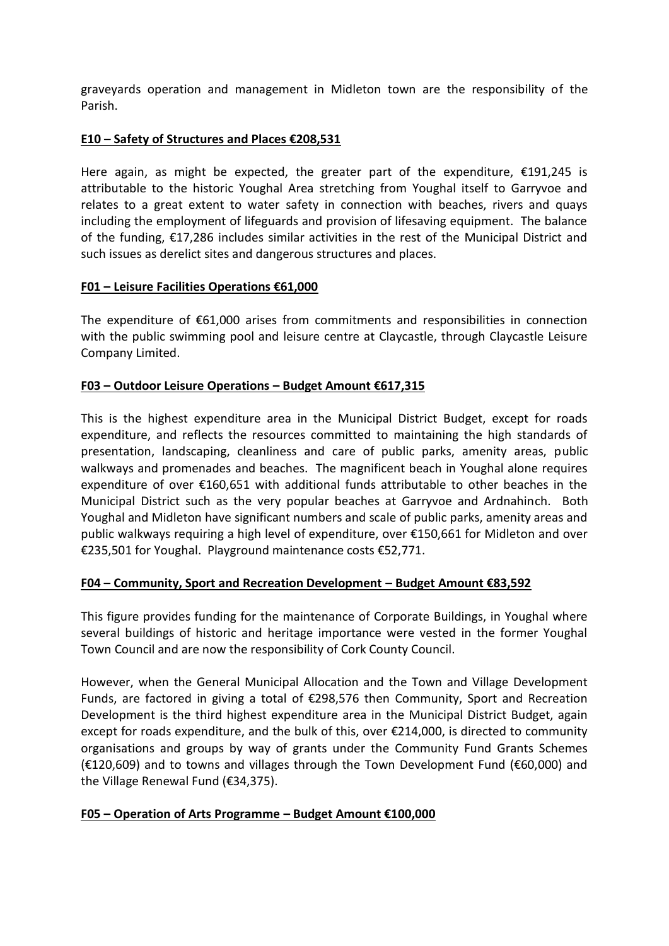graveyards operation and management in Midleton town are the responsibility of the Parish.

#### **E10 – Safety of Structures and Places €208,531**

Here again, as might be expected, the greater part of the expenditure, €191,245 is attributable to the historic Youghal Area stretching from Youghal itself to Garryvoe and relates to a great extent to water safety in connection with beaches, rivers and quays including the employment of lifeguards and provision of lifesaving equipment. The balance of the funding, €17,286 includes similar activities in the rest of the Municipal District and such issues as derelict sites and dangerous structures and places.

#### **F01 – Leisure Facilities Operations €61,000**

The expenditure of €61,000 arises from commitments and responsibilities in connection with the public swimming pool and leisure centre at Claycastle, through Claycastle Leisure Company Limited.

#### **F03 – Outdoor Leisure Operations – Budget Amount €617,315**

This is the highest expenditure area in the Municipal District Budget, except for roads expenditure, and reflects the resources committed to maintaining the high standards of presentation, landscaping, cleanliness and care of public parks, amenity areas, public walkways and promenades and beaches. The magnificent beach in Youghal alone requires expenditure of over €160,651 with additional funds attributable to other beaches in the Municipal District such as the very popular beaches at Garryvoe and Ardnahinch. Both Youghal and Midleton have significant numbers and scale of public parks, amenity areas and public walkways requiring a high level of expenditure, over €150,661 for Midleton and over €235,501 for Youghal. Playground maintenance costs €52,771.

## **F04 – Community, Sport and Recreation Development – Budget Amount €83,592**

This figure provides funding for the maintenance of Corporate Buildings, in Youghal where several buildings of historic and heritage importance were vested in the former Youghal Town Council and are now the responsibility of Cork County Council.

However, when the General Municipal Allocation and the Town and Village Development Funds, are factored in giving a total of  $\epsilon$ 298,576 then Community, Sport and Recreation Development is the third highest expenditure area in the Municipal District Budget, again except for roads expenditure, and the bulk of this, over €214,000, is directed to community organisations and groups by way of grants under the Community Fund Grants Schemes (€120,609) and to towns and villages through the Town Development Fund (€60,000) and the Village Renewal Fund (€34,375).

## **F05 – Operation of Arts Programme – Budget Amount €100,000**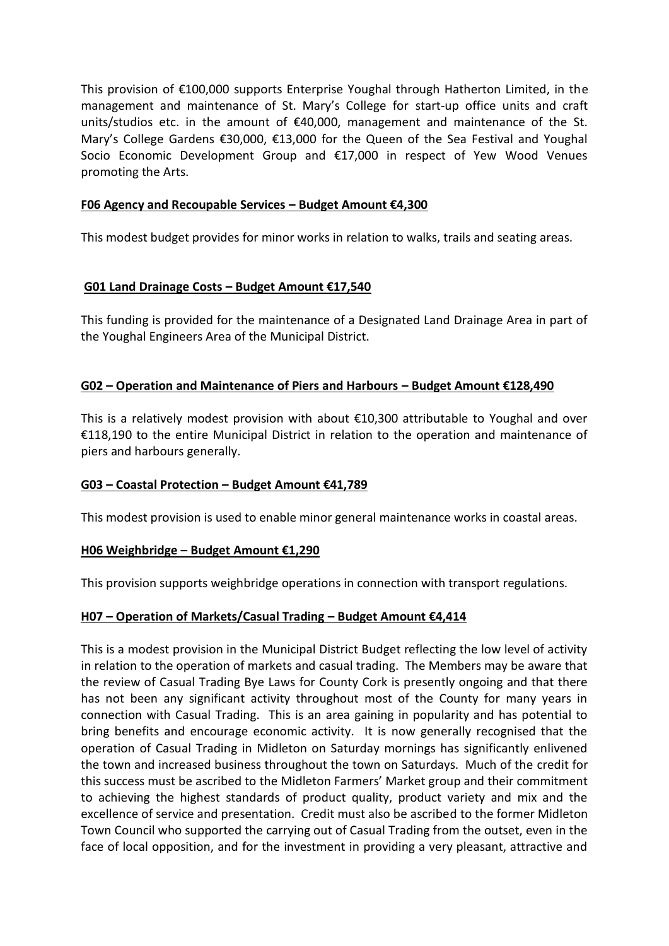This provision of €100,000 supports Enterprise Youghal through Hatherton Limited, in the management and maintenance of St. Mary's College for start-up office units and craft units/studios etc. in the amount of  $\epsilon$ 40,000, management and maintenance of the St. Mary's College Gardens €30,000, €13,000 for the Queen of the Sea Festival and Youghal Socio Economic Development Group and €17,000 in respect of Yew Wood Venues promoting the Arts.

#### **F06 Agency and Recoupable Services – Budget Amount €4,300**

This modest budget provides for minor works in relation to walks, trails and seating areas.

#### **G01 Land Drainage Costs – Budget Amount €17,540**

This funding is provided for the maintenance of a Designated Land Drainage Area in part of the Youghal Engineers Area of the Municipal District.

#### **G02 – Operation and Maintenance of Piers and Harbours – Budget Amount €128,490**

This is a relatively modest provision with about  $\epsilon$ 10,300 attributable to Youghal and over €118,190 to the entire Municipal District in relation to the operation and maintenance of piers and harbours generally.

#### **G03 – Coastal Protection – Budget Amount €41,789**

This modest provision is used to enable minor general maintenance works in coastal areas.

#### **H06 Weighbridge – Budget Amount €1,290**

This provision supports weighbridge operations in connection with transport regulations.

## **H07 – Operation of Markets/Casual Trading – Budget Amount €4,414**

This is a modest provision in the Municipal District Budget reflecting the low level of activity in relation to the operation of markets and casual trading. The Members may be aware that the review of Casual Trading Bye Laws for County Cork is presently ongoing and that there has not been any significant activity throughout most of the County for many years in connection with Casual Trading. This is an area gaining in popularity and has potential to bring benefits and encourage economic activity. It is now generally recognised that the operation of Casual Trading in Midleton on Saturday mornings has significantly enlivened the town and increased business throughout the town on Saturdays. Much of the credit for this success must be ascribed to the Midleton Farmers' Market group and their commitment to achieving the highest standards of product quality, product variety and mix and the excellence of service and presentation. Credit must also be ascribed to the former Midleton Town Council who supported the carrying out of Casual Trading from the outset, even in the face of local opposition, and for the investment in providing a very pleasant, attractive and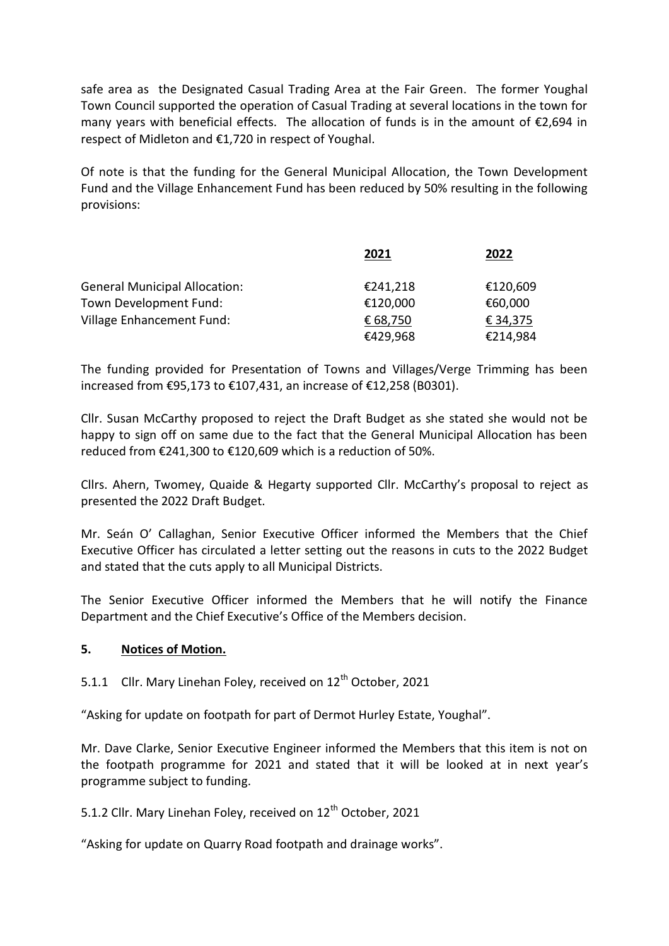safe area as the Designated Casual Trading Area at the Fair Green. The former Youghal Town Council supported the operation of Casual Trading at several locations in the town for many years with beneficial effects. The allocation of funds is in the amount of  $\epsilon$ 2,694 in respect of Midleton and €1,720 in respect of Youghal.

Of note is that the funding for the General Municipal Allocation, the Town Development Fund and the Village Enhancement Fund has been reduced by 50% resulting in the following provisions:

|                                      | 2021     | 2022     |
|--------------------------------------|----------|----------|
| <b>General Municipal Allocation:</b> | €241,218 | €120,609 |
| Town Development Fund:               | €120,000 | €60,000  |
| Village Enhancement Fund:            | € 68,750 | € 34,375 |
|                                      | €429,968 | €214,984 |

The funding provided for Presentation of Towns and Villages/Verge Trimming has been increased from €95,173 to €107,431, an increase of €12,258 (B0301).

Cllr. Susan McCarthy proposed to reject the Draft Budget as she stated she would not be happy to sign off on same due to the fact that the General Municipal Allocation has been reduced from €241,300 to €120,609 which is a reduction of 50%.

Cllrs. Ahern, Twomey, Quaide & Hegarty supported Cllr. McCarthy's proposal to reject as presented the 2022 Draft Budget.

Mr. Seán O' Callaghan, Senior Executive Officer informed the Members that the Chief Executive Officer has circulated a letter setting out the reasons in cuts to the 2022 Budget and stated that the cuts apply to all Municipal Districts.

The Senior Executive Officer informed the Members that he will notify the Finance Department and the Chief Executive's Office of the Members decision.

#### **5. Notices of Motion.**

5.1.1 Cllr. Mary Linehan Foley, received on  $12<sup>th</sup>$  October, 2021

"Asking for update on footpath for part of Dermot Hurley Estate, Youghal".

Mr. Dave Clarke, Senior Executive Engineer informed the Members that this item is not on the footpath programme for 2021 and stated that it will be looked at in next year's programme subject to funding.

5.1.2 Cllr. Mary Linehan Foley, received on 12<sup>th</sup> October, 2021

"Asking for update on Quarry Road footpath and drainage works".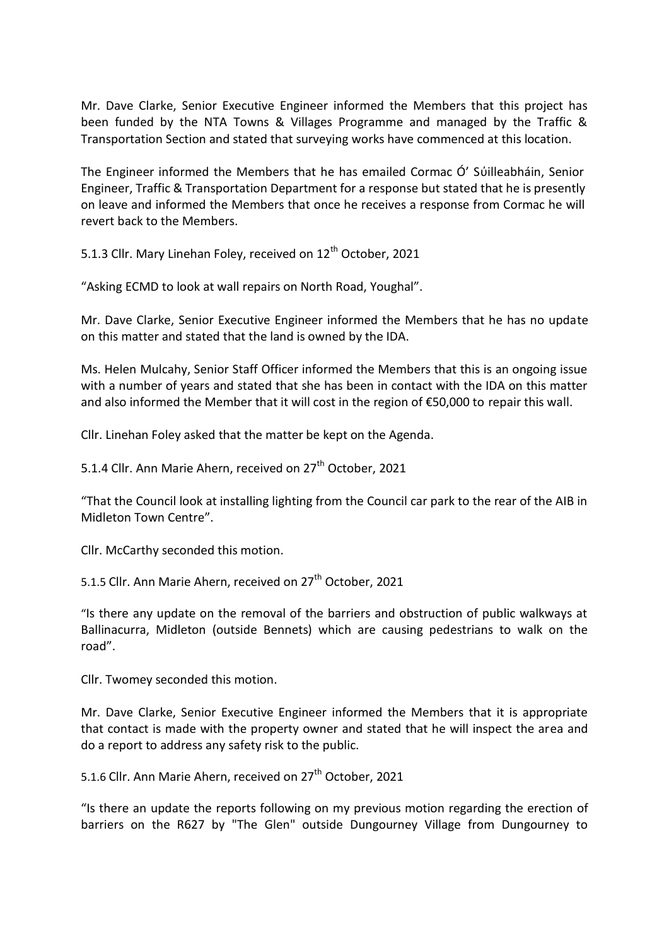Mr. Dave Clarke, Senior Executive Engineer informed the Members that this project has been funded by the NTA Towns & Villages Programme and managed by the Traffic & Transportation Section and stated that surveying works have commenced at this location.

The Engineer informed the Members that he has emailed Cormac Ó' Sύilleabháin, Senior Engineer, Traffic & Transportation Department for a response but stated that he is presently on leave and informed the Members that once he receives a response from Cormac he will revert back to the Members.

5.1.3 Cllr. Mary Linehan Foley, received on 12<sup>th</sup> October, 2021

"Asking ECMD to look at wall repairs on North Road, Youghal".

Mr. Dave Clarke, Senior Executive Engineer informed the Members that he has no update on this matter and stated that the land is owned by the IDA.

Ms. Helen Mulcahy, Senior Staff Officer informed the Members that this is an ongoing issue with a number of years and stated that she has been in contact with the IDA on this matter and also informed the Member that it will cost in the region of €50,000 to repair this wall.

Cllr. Linehan Foley asked that the matter be kept on the Agenda.

5.1.4 Cllr. Ann Marie Ahern, received on 27<sup>th</sup> October, 2021

"That the Council look at installing lighting from the Council car park to the rear of the AIB in Midleton Town Centre".

Cllr. McCarthy seconded this motion.

5.1.5 Cllr. Ann Marie Ahern, received on 27<sup>th</sup> October, 2021

"Is there any update on the removal of the barriers and obstruction of public walkways at Ballinacurra, Midleton (outside Bennets) which are causing pedestrians to walk on the road".

Cllr. Twomey seconded this motion.

Mr. Dave Clarke, Senior Executive Engineer informed the Members that it is appropriate that contact is made with the property owner and stated that he will inspect the area and do a report to address any safety risk to the public.

5.1.6 Cllr. Ann Marie Ahern, received on 27<sup>th</sup> October, 2021

"Is there an update the reports following on my previous motion regarding the erection of barriers on the R627 by "The Glen" outside Dungourney Village from Dungourney to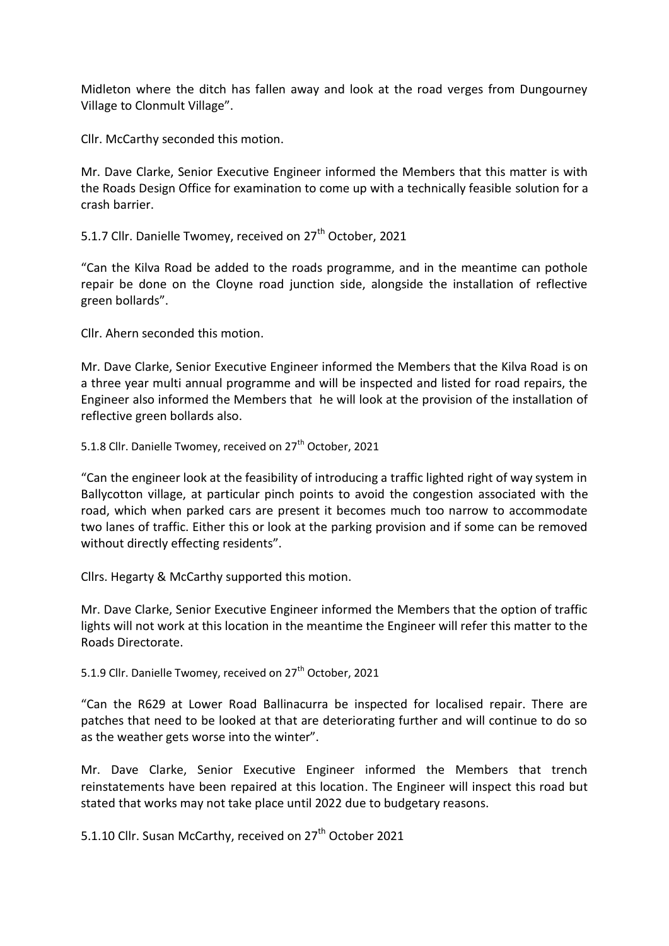Midleton where the ditch has fallen away and look at the road verges from Dungourney Village to Clonmult Village".

Cllr. McCarthy seconded this motion.

Mr. Dave Clarke, Senior Executive Engineer informed the Members that this matter is with the Roads Design Office for examination to come up with a technically feasible solution for a crash barrier.

5.1.7 Cllr. Danielle Twomey, received on 27<sup>th</sup> October, 2021

"Can the Kilva Road be added to the roads programme, and in the meantime can pothole repair be done on the Cloyne road junction side, alongside the installation of reflective green bollards".

Cllr. Ahern seconded this motion.

Mr. Dave Clarke, Senior Executive Engineer informed the Members that the Kilva Road is on a three year multi annual programme and will be inspected and listed for road repairs, the Engineer also informed the Members that he will look at the provision of the installation of reflective green bollards also.

5.1.8 Cllr. Danielle Twomey, received on 27<sup>th</sup> October. 2021

"Can the engineer look at the feasibility of introducing a traffic lighted right of way system in Ballycotton village, at particular pinch points to avoid the congestion associated with the road, which when parked cars are present it becomes much too narrow to accommodate two lanes of traffic. Either this or look at the parking provision and if some can be removed without directly effecting residents".

Cllrs. Hegarty & McCarthy supported this motion.

Mr. Dave Clarke, Senior Executive Engineer informed the Members that the option of traffic lights will not work at this location in the meantime the Engineer will refer this matter to the Roads Directorate.

5.1.9 Cllr. Danielle Twomey, received on 27<sup>th</sup> October, 2021

"Can the R629 at Lower Road Ballinacurra be inspected for localised repair. There are patches that need to be looked at that are deteriorating further and will continue to do so as the weather gets worse into the winter".

Mr. Dave Clarke, Senior Executive Engineer informed the Members that trench reinstatements have been repaired at this location. The Engineer will inspect this road but stated that works may not take place until 2022 due to budgetary reasons.

5.1.10 Cllr. Susan McCarthy, received on 27<sup>th</sup> October 2021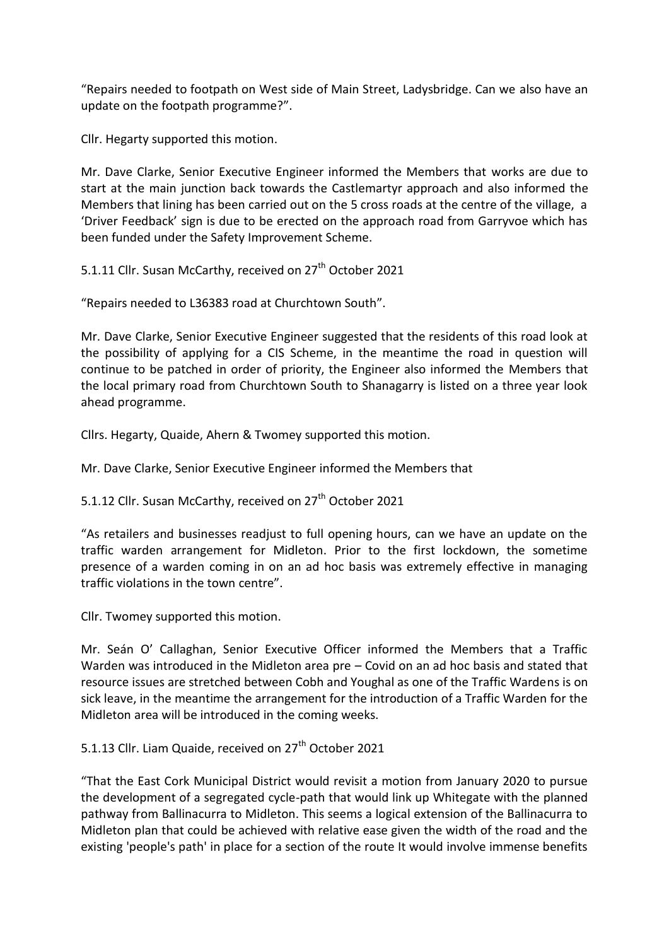"Repairs needed to footpath on West side of Main Street, Ladysbridge. Can we also have an update on the footpath programme?".

Cllr. Hegarty supported this motion.

Mr. Dave Clarke, Senior Executive Engineer informed the Members that works are due to start at the main junction back towards the Castlemartyr approach and also informed the Members that lining has been carried out on the 5 cross roads at the centre of the village, a 'Driver Feedback' sign is due to be erected on the approach road from Garryvoe which has been funded under the Safety Improvement Scheme.

5.1.11 Cllr. Susan McCarthy, received on 27<sup>th</sup> October 2021

"Repairs needed to L36383 road at Churchtown South".

Mr. Dave Clarke, Senior Executive Engineer suggested that the residents of this road look at the possibility of applying for a CIS Scheme, in the meantime the road in question will continue to be patched in order of priority, the Engineer also informed the Members that the local primary road from Churchtown South to Shanagarry is listed on a three year look ahead programme.

Cllrs. Hegarty, Quaide, Ahern & Twomey supported this motion.

Mr. Dave Clarke, Senior Executive Engineer informed the Members that

5.1.12 Cllr. Susan McCarthy, received on 27<sup>th</sup> October 2021

"As retailers and businesses readjust to full opening hours, can we have an update on the traffic warden arrangement for Midleton. Prior to the first lockdown, the sometime presence of a warden coming in on an ad hoc basis was extremely effective in managing traffic violations in the town centre".

Cllr. Twomey supported this motion.

Mr. Seán O' Callaghan, Senior Executive Officer informed the Members that a Traffic Warden was introduced in the Midleton area pre – Covid on an ad hoc basis and stated that resource issues are stretched between Cobh and Youghal as one of the Traffic Wardens is on sick leave, in the meantime the arrangement for the introduction of a Traffic Warden for the Midleton area will be introduced in the coming weeks.

5.1.13 Cllr. Liam Quaide, received on 27<sup>th</sup> October 2021

"That the East Cork Municipal District would revisit a motion from January 2020 to pursue the development of a segregated cycle-path that would link up Whitegate with the planned pathway from Ballinacurra to Midleton. This seems a logical extension of the Ballinacurra to Midleton plan that could be achieved with relative ease given the width of the road and the existing 'people's path' in place for a section of the route It would involve immense benefits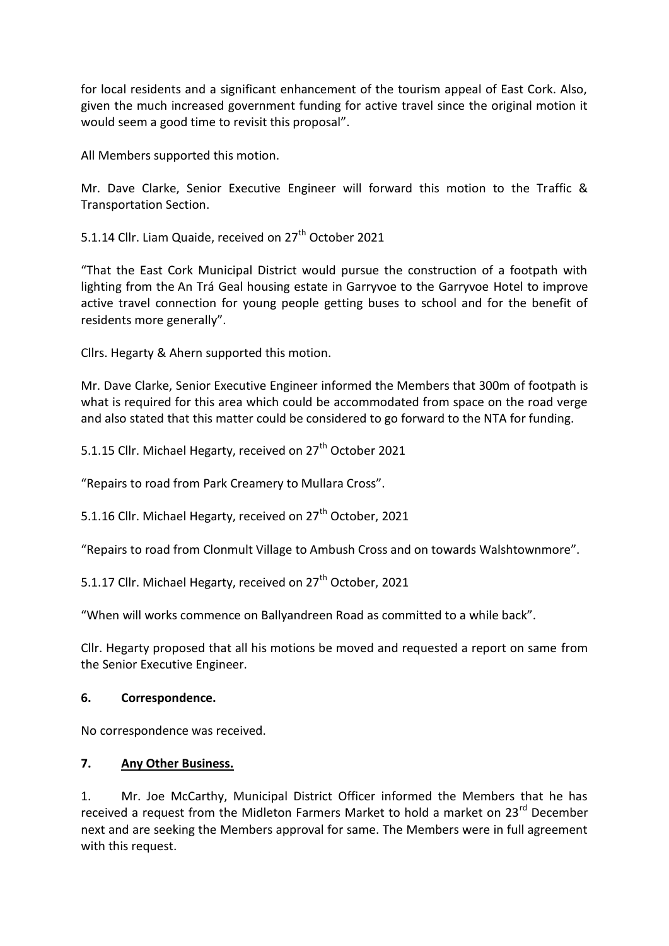for local residents and a significant enhancement of the tourism appeal of East Cork. Also, given the much increased government funding for active travel since the original motion it would seem a good time to revisit this proposal".

All Members supported this motion.

Mr. Dave Clarke, Senior Executive Engineer will forward this motion to the Traffic & Transportation Section.

5.1.14 Cllr. Liam Quaide, received on 27<sup>th</sup> October 2021

"That the East Cork Municipal District would pursue the construction of a footpath with lighting from the An Trá Geal housing estate in Garryvoe to the Garryvoe Hotel to improve active travel connection for young people getting buses to school and for the benefit of residents more generally".

Cllrs. Hegarty & Ahern supported this motion.

Mr. Dave Clarke, Senior Executive Engineer informed the Members that 300m of footpath is what is required for this area which could be accommodated from space on the road verge and also stated that this matter could be considered to go forward to the NTA for funding.

5.1.15 Cllr. Michael Hegarty, received on 27<sup>th</sup> October 2021

"Repairs to road from Park Creamery to Mullara Cross".

5.1.16 Cllr. Michael Hegarty, received on 27<sup>th</sup> October, 2021

"Repairs to road from Clonmult Village to Ambush Cross and on towards Walshtownmore".

5.1.17 Cllr. Michael Hegarty, received on  $27<sup>th</sup>$  October, 2021

"When will works commence on Ballyandreen Road as committed to a while back".

Cllr. Hegarty proposed that all his motions be moved and requested a report on same from the Senior Executive Engineer.

#### **6. Correspondence.**

No correspondence was received.

#### **7. Any Other Business.**

1. Mr. Joe McCarthy, Municipal District Officer informed the Members that he has received a request from the Midleton Farmers Market to hold a market on 23<sup>rd</sup> December next and are seeking the Members approval for same. The Members were in full agreement with this request.